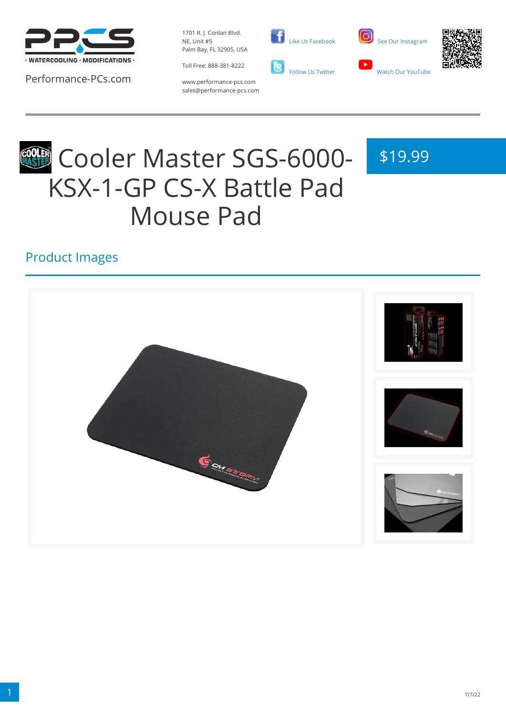

Performance-PCs.com

1701 R. J. Conlan Blvd. NE, Unit #5 Palm Bay, FL 32905, USA

Toll Free: 888-381-8222







www.performance-pcs.com sales@performance-pcs.com

# **COOLER Master SGS-6000-**KSX-1-GP CS-X Battle Pad Mouse Pad

## \$19.99

#### Product Images

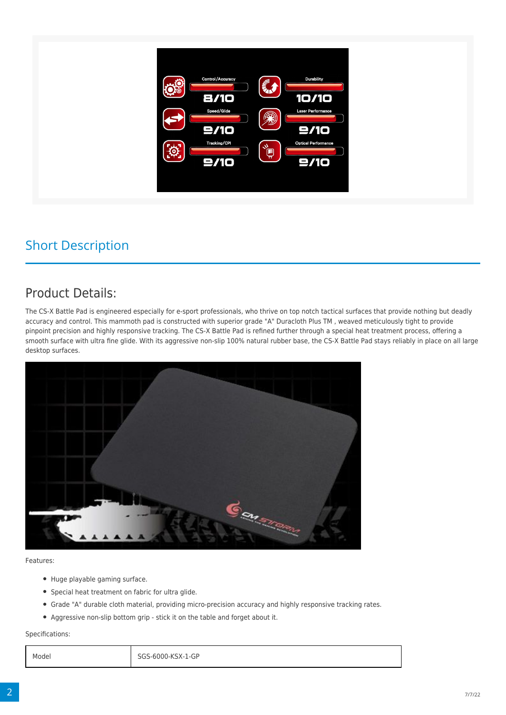

#### Short Description

#### Product Details:

The CS-X Battle Pad is engineered especially for e-sport professionals, who thrive on top notch tactical surfaces that provide nothing but deadly accuracy and control. This mammoth pad is constructed with superior grade "A" Duracloth Plus TM , weaved meticulously tight to provide pinpoint precision and highly responsive tracking. The CS-X Battle Pad is refined further through a special heat treatment process, offering a smooth surface with ultra fine glide. With its aggressive non-slip 100% natural rubber base, the CS-X Battle Pad stays reliably in place on all large desktop surfaces.



Features:

- Huge playable gaming surface.
- Special heat treatment on fabric for ultra glide.
- Grade "A" durable cloth material, providing micro-precision accuracy and highly responsive tracking rates.
- Aggressive non-slip bottom grip stick it on the table and forget about it.

Specifications:

Model SGS-6000-KSX-1-GP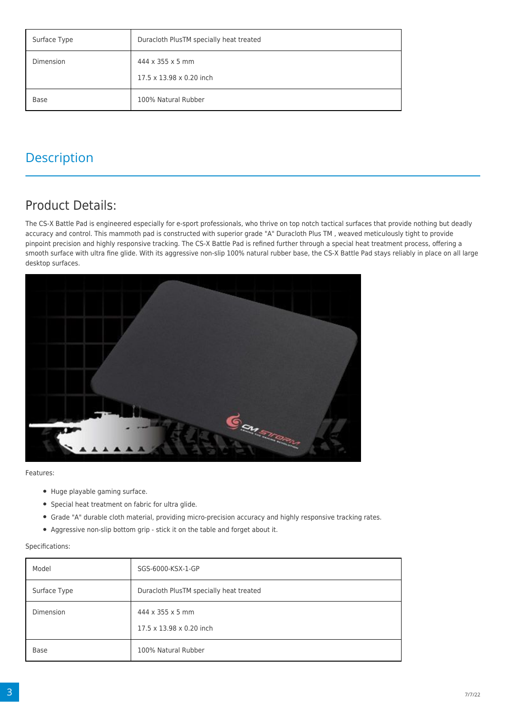| Surface Type | Duracloth PlusTM specially heat treated                  |
|--------------|----------------------------------------------------------|
| Dimension    | $444 \times 355 \times 5$ mm<br>17.5 x 13.98 x 0.20 inch |
| Base         | 100% Natural Rubber                                      |

#### **Description**

#### Product Details:

The CS-X Battle Pad is engineered especially for e-sport professionals, who thrive on top notch tactical surfaces that provide nothing but deadly accuracy and control. This mammoth pad is constructed with superior grade "A" Duracloth Plus TM , weaved meticulously tight to provide pinpoint precision and highly responsive tracking. The CS-X Battle Pad is refined further through a special heat treatment process, offering a smooth surface with ultra fine glide. With its aggressive non-slip 100% natural rubber base, the CS-X Battle Pad stays reliably in place on all large desktop surfaces.



Features:

- Huge playable gaming surface.
- Special heat treatment on fabric for ultra glide.
- Grade "A" durable cloth material, providing micro-precision accuracy and highly responsive tracking rates.
- Aggressive non-slip bottom grip stick it on the table and forget about it.

#### Specifications:

| Model        | SGS-6000-KSX-1-GP                            |  |
|--------------|----------------------------------------------|--|
| Surface Type | Duracloth PlusTM specially heat treated      |  |
| Dimension    | 444 x 355 x 5 mm<br>17.5 x 13.98 x 0.20 inch |  |
| Base         | 100% Natural Rubber                          |  |